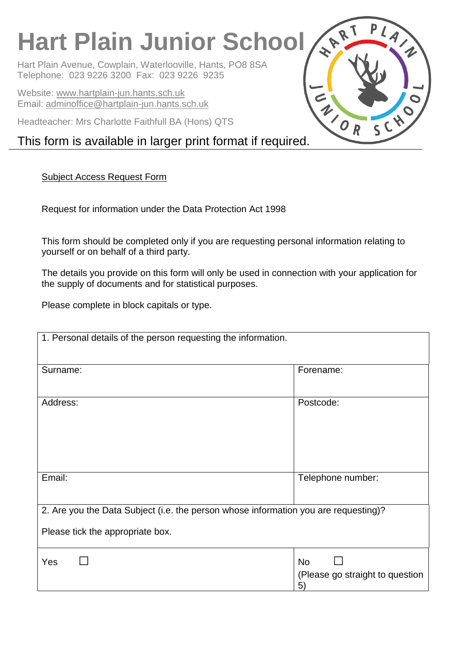# **Hart Plain Junior School**

Hart Plain Avenue, Cowplain, Waterlooville, Hants, PO8 8SA Telephone: 023 9226 3200 Fax: 023 9226 9235

Website: [www.hartplain-jun.hants.sch.uk](http://www.hartplain-jun.hants.sch.uk/) Email: [adminoffice@hartplain-jun.hants.sch.uk](mailto:adminoffice@hartplain-jun.hants.sch.uk)

Headteacher: Mrs Charlotte Faithfull BA (Hons) QTS

## This form is available in larger print format if required.

## Subject Access Request Form

Request for information under the Data Protection Act 1998

This form should be completed only if you are requesting personal information relating to yourself or on behalf of a third party.

The details you provide on this form will only be used in connection with your application for the supply of documents and for statistical purposes.

Please complete in block capitals or type.

| 1. Personal details of the person requesting the information.                       |                                 |  |
|-------------------------------------------------------------------------------------|---------------------------------|--|
|                                                                                     |                                 |  |
| Surname:                                                                            | Forename:                       |  |
|                                                                                     |                                 |  |
|                                                                                     |                                 |  |
| Address:                                                                            | Postcode:                       |  |
|                                                                                     |                                 |  |
|                                                                                     |                                 |  |
|                                                                                     |                                 |  |
|                                                                                     |                                 |  |
| Email:                                                                              | Telephone number:               |  |
|                                                                                     |                                 |  |
|                                                                                     |                                 |  |
| 2. Are you the Data Subject (i.e. the person whose information you are requesting)? |                                 |  |
| Please tick the appropriate box.                                                    |                                 |  |
|                                                                                     |                                 |  |
| Yes                                                                                 | <b>No</b>                       |  |
|                                                                                     | (Please go straight to question |  |
|                                                                                     | 5)                              |  |

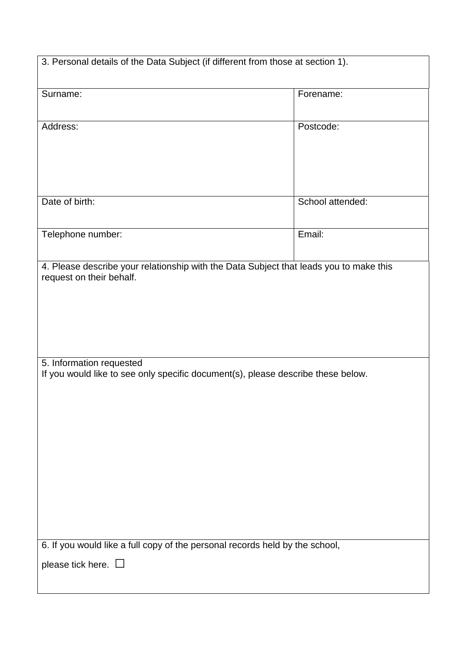| 3. Personal details of the Data Subject (if different from those at section 1).                                    |                  |  |
|--------------------------------------------------------------------------------------------------------------------|------------------|--|
| Surname:                                                                                                           | Forename:        |  |
|                                                                                                                    |                  |  |
| Address:                                                                                                           | Postcode:        |  |
|                                                                                                                    |                  |  |
|                                                                                                                    |                  |  |
|                                                                                                                    |                  |  |
| Date of birth:                                                                                                     | School attended: |  |
| Telephone number:                                                                                                  | Email:           |  |
|                                                                                                                    |                  |  |
| 4. Please describe your relationship with the Data Subject that leads you to make this<br>request on their behalf. |                  |  |
|                                                                                                                    |                  |  |
|                                                                                                                    |                  |  |
|                                                                                                                    |                  |  |
|                                                                                                                    |                  |  |
| 5. Information requested<br>If you would like to see only specific document(s), please describe these below.       |                  |  |
|                                                                                                                    |                  |  |
|                                                                                                                    |                  |  |
|                                                                                                                    |                  |  |
|                                                                                                                    |                  |  |
|                                                                                                                    |                  |  |
|                                                                                                                    |                  |  |
|                                                                                                                    |                  |  |
|                                                                                                                    |                  |  |
| 6. If you would like a full copy of the personal records held by the school,<br>please tick here. $\square$        |                  |  |
|                                                                                                                    |                  |  |
|                                                                                                                    |                  |  |